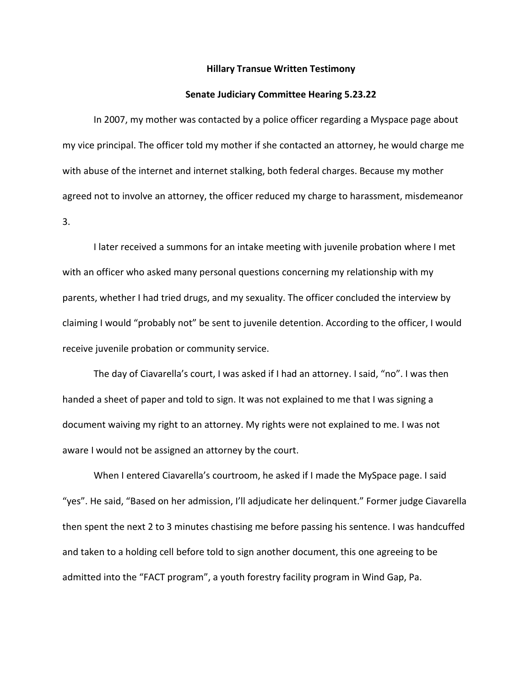## **Hillary Transue Written Testimony**

## **Senate Judiciary Committee Hearing 5.23.22**

In 2007, my mother was contacted by a police officer regarding a Myspace page about my vice principal. The officer told my mother if she contacted an attorney, he would charge me with abuse of the internet and internet stalking, both federal charges. Because my mother agreed not to involve an attorney, the officer reduced my charge to harassment, misdemeanor 3.

I later received a summons for an intake meeting with juvenile probation where I met with an officer who asked many personal questions concerning my relationship with my parents, whether I had tried drugs, and my sexuality. The officer concluded the interview by claiming I would "probably not" be sent to juvenile detention. According to the officer, I would receive juvenile probation or community service.

The day of Ciavarella's court, I was asked if I had an attorney. I said, "no". I was then handed a sheet of paper and told to sign. It was not explained to me that I was signing a document waiving my right to an attorney. My rights were not explained to me. I was not aware I would not be assigned an attorney by the court.

When I entered Ciavarella's courtroom, he asked if I made the MySpace page. I said "yes". He said, "Based on her admission, I'll adjudicate her delinquent." Former judge Ciavarella then spent the next 2 to 3 minutes chastising me before passing his sentence. I was handcuffed and taken to a holding cell before told to sign another document, this one agreeing to be admitted into the "FACT program", a youth forestry facility program in Wind Gap, Pa.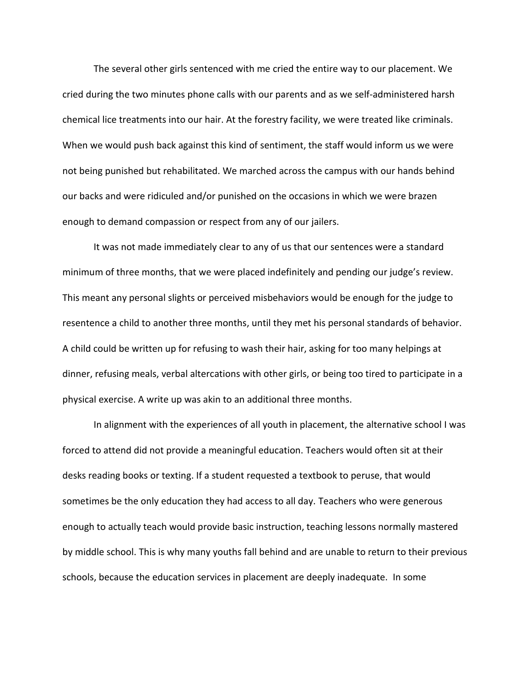The several other girls sentenced with me cried the entire way to our placement. We cried during the two minutes phone calls with our parents and as we self-administered harsh chemical lice treatments into our hair. At the forestry facility, we were treated like criminals. When we would push back against this kind of sentiment, the staff would inform us we were not being punished but rehabilitated. We marched across the campus with our hands behind our backs and were ridiculed and/or punished on the occasions in which we were brazen enough to demand compassion or respect from any of our jailers.

It was not made immediately clear to any of us that our sentences were a standard minimum of three months, that we were placed indefinitely and pending our judge's review. This meant any personal slights or perceived misbehaviors would be enough for the judge to resentence a child to another three months, until they met his personal standards of behavior. A child could be written up for refusing to wash their hair, asking for too many helpings at dinner, refusing meals, verbal altercations with other girls, or being too tired to participate in a physical exercise. A write up was akin to an additional three months.

In alignment with the experiences of all youth in placement, the alternative school I was forced to attend did not provide a meaningful education. Teachers would often sit at their desks reading books or texting. If a student requested a textbook to peruse, that would sometimes be the only education they had access to all day. Teachers who were generous enough to actually teach would provide basic instruction, teaching lessons normally mastered by middle school. This is why many youths fall behind and are unable to return to their previous schools, because the education services in placement are deeply inadequate. In some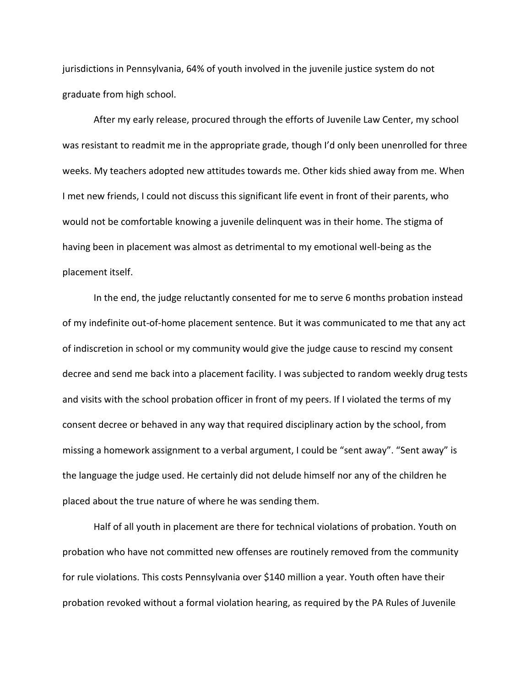jurisdictions in Pennsylvania, 64% of youth involved in the juvenile justice system do not graduate from high school.

After my early release, procured through the efforts of Juvenile Law Center, my school was resistant to readmit me in the appropriate grade, though I'd only been unenrolled for three weeks. My teachers adopted new attitudes towards me. Other kids shied away from me. When I met new friends, I could not discuss this significant life event in front of their parents, who would not be comfortable knowing a juvenile delinquent was in their home. The stigma of having been in placement was almost as detrimental to my emotional well-being as the placement itself.

In the end, the judge reluctantly consented for me to serve 6 months probation instead of my indefinite out-of-home placement sentence. But it was communicated to me that any act of indiscretion in school or my community would give the judge cause to rescind my consent decree and send me back into a placement facility. I was subjected to random weekly drug tests and visits with the school probation officer in front of my peers. If I violated the terms of my consent decree or behaved in any way that required disciplinary action by the school, from missing a homework assignment to a verbal argument, I could be "sent away". "Sent away" is the language the judge used. He certainly did not delude himself nor any of the children he placed about the true nature of where he was sending them.

Half of all youth in placement are there for technical violations of probation. Youth on probation who have not committed new offenses are routinely removed from the community for rule violations. This costs Pennsylvania over \$140 million a year. Youth often have their probation revoked without a formal violation hearing, as required by the PA Rules of Juvenile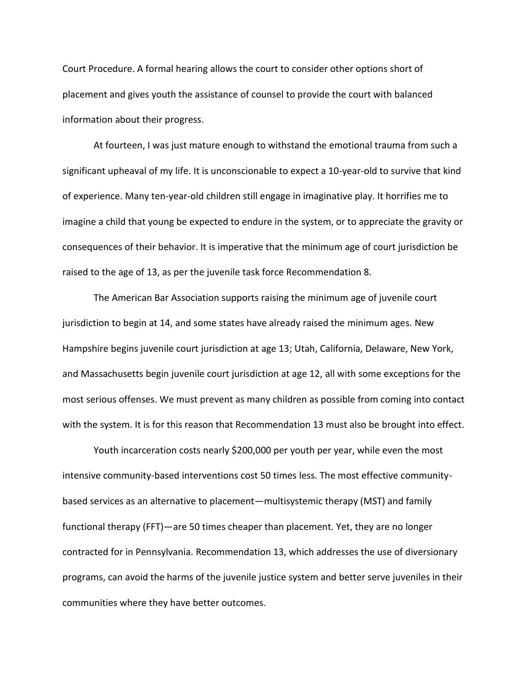Court Procedure. A formal hearing allows the court to consider other options short of placement and gives youth the assistance of counsel to provide the court with balanced information about their progress.

At fourteen, I was just mature enough to withstand the emotional trauma from such a significant upheaval of my life. It is unconscionable to expect a 10-year-old to survive that kind of experience. Many ten-year-old children still engage in imaginative play. It horrifies me to imagine a child that young be expected to endure in the system, or to appreciate the gravity or consequences of their behavior. It is imperative that the minimum age of court jurisdiction be raised to the age of 13, as per the juvenile task force Recommendation 8.

The American Bar Association supports raising the minimum age of juvenile court jurisdiction to begin at 14, and some states have already raised the minimum ages. New Hampshire begins juvenile court jurisdiction at age 13; Utah, California, Delaware, New York, and Massachusetts begin juvenile court jurisdiction at age 12, all with some exceptions for the most serious offenses. We must prevent as many children as possible from coming into contact with the system. It is for this reason that Recommendation 13 must also be brought into effect.

Youth incarceration costs nearly \$200,000 per youth per year, while even the most intensive community-based interventions cost 50 times less. The most effective communitybased services as an alternative to placement—multisystemic therapy (MST) and family functional therapy (FFT)—are 50 times cheaper than placement*.* Yet, they are no longer contracted for in Pennsylvania. Recommendation 13, which addresses the use of diversionary programs, can avoid the harms of the juvenile justice system and better serve juveniles in their communities where they have better outcomes.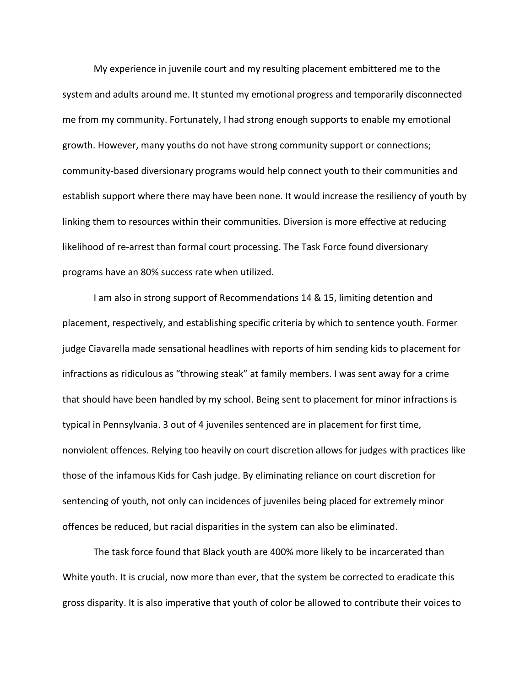My experience in juvenile court and my resulting placement embittered me to the system and adults around me. It stunted my emotional progress and temporarily disconnected me from my community. Fortunately, I had strong enough supports to enable my emotional growth. However, many youths do not have strong community support or connections; community-based diversionary programs would help connect youth to their communities and establish support where there may have been none. It would increase the resiliency of youth by linking them to resources within their communities. Diversion is more effective at reducing likelihood of re-arrest than formal court processing. The Task Force found diversionary programs have an 80% success rate when utilized.

I am also in strong support of Recommendations 14 & 15, limiting detention and placement, respectively, and establishing specific criteria by which to sentence youth. Former judge Ciavarella made sensational headlines with reports of him sending kids to placement for infractions as ridiculous as "throwing steak" at family members. I was sent away for a crime that should have been handled by my school. Being sent to placement for minor infractions is typical in Pennsylvania. 3 out of 4 juveniles sentenced are in placement for first time, nonviolent offences. Relying too heavily on court discretion allows for judges with practices like those of the infamous Kids for Cash judge. By eliminating reliance on court discretion for sentencing of youth, not only can incidences of juveniles being placed for extremely minor offences be reduced, but racial disparities in the system can also be eliminated.

The task force found that Black youth are 400% more likely to be incarcerated than White youth. It is crucial, now more than ever, that the system be corrected to eradicate this gross disparity. It is also imperative that youth of color be allowed to contribute their voices to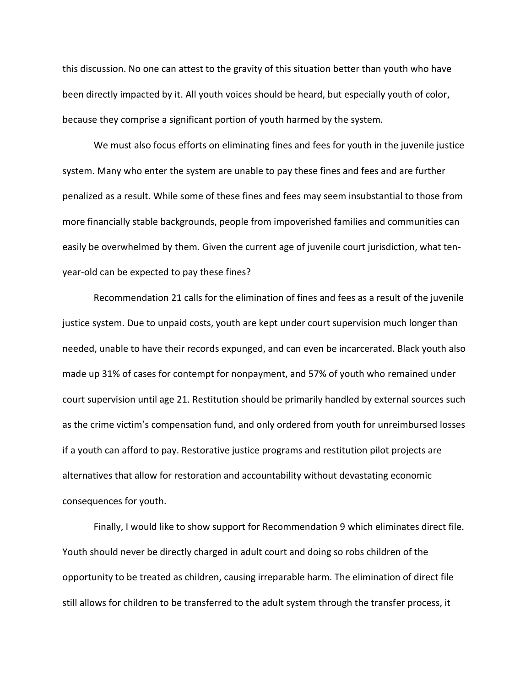this discussion. No one can attest to the gravity of this situation better than youth who have been directly impacted by it. All youth voices should be heard, but especially youth of color, because they comprise a significant portion of youth harmed by the system.

We must also focus efforts on eliminating fines and fees for youth in the juvenile justice system. Many who enter the system are unable to pay these fines and fees and are further penalized as a result. While some of these fines and fees may seem insubstantial to those from more financially stable backgrounds, people from impoverished families and communities can easily be overwhelmed by them. Given the current age of juvenile court jurisdiction, what tenyear-old can be expected to pay these fines?

Recommendation 21 calls for the elimination of fines and fees as a result of the juvenile justice system. Due to unpaid costs, youth are kept under court supervision much longer than needed, unable to have their records expunged, and can even be incarcerated. Black youth also made up 31% of cases for contempt for nonpayment, and 57% of youth who remained under court supervision until age 21. Restitution should be primarily handled by external sources such as the crime victim's compensation fund, and only ordered from youth for unreimbursed losses if a youth can afford to pay. Restorative justice programs and restitution pilot projects are alternatives that allow for restoration and accountability without devastating economic consequences for youth.

Finally, I would like to show support for Recommendation 9 which eliminates direct file. Youth should never be directly charged in adult court and doing so robs children of the opportunity to be treated as children, causing irreparable harm. The elimination of direct file still allows for children to be transferred to the adult system through the transfer process, it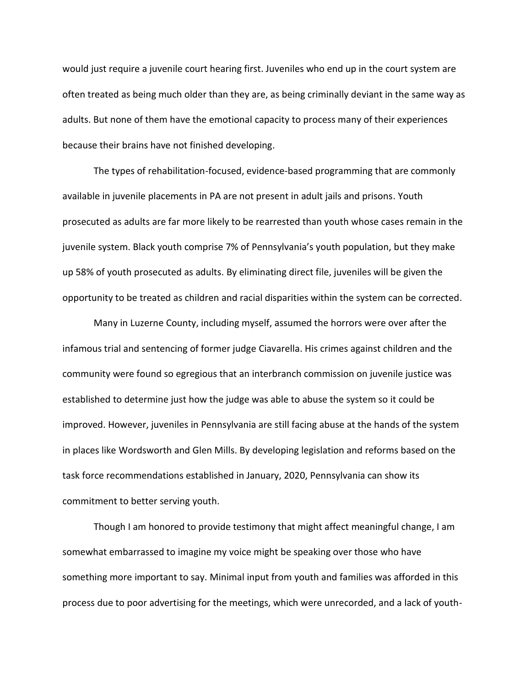would just require a juvenile court hearing first. Juveniles who end up in the court system are often treated as being much older than they are, as being criminally deviant in the same way as adults. But none of them have the emotional capacity to process many of their experiences because their brains have not finished developing.

The types of rehabilitation-focused, evidence-based programming that are commonly available in juvenile placements in PA are not present in adult jails and prisons. Youth prosecuted as adults are far more likely to be rearrested than youth whose cases remain in the juvenile system. Black youth comprise 7% of Pennsylvania's youth population, but they make up 58% of youth prosecuted as adults. By eliminating direct file, juveniles will be given the opportunity to be treated as children and racial disparities within the system can be corrected.

Many in Luzerne County, including myself, assumed the horrors were over after the infamous trial and sentencing of former judge Ciavarella. His crimes against children and the community were found so egregious that an interbranch commission on juvenile justice was established to determine just how the judge was able to abuse the system so it could be improved. However, juveniles in Pennsylvania are still facing abuse at the hands of the system in places like Wordsworth and Glen Mills. By developing legislation and reforms based on the task force recommendations established in January, 2020, Pennsylvania can show its commitment to better serving youth.

Though I am honored to provide testimony that might affect meaningful change, I am somewhat embarrassed to imagine my voice might be speaking over those who have something more important to say. Minimal input from youth and families was afforded in this process due to poor advertising for the meetings, which were unrecorded, and a lack of youth